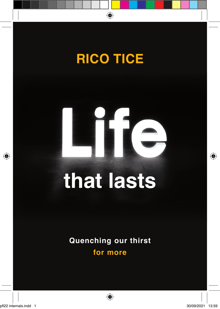

# T

## **that lasts**

**Quenching our thirst for more**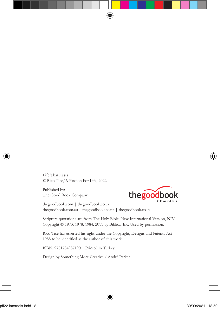Life That Lasts © Rico Tice/A Passion For Life, 2022.

Published by: The Good Book Company



thegoodbook.com | thegoodbook.co.uk thegoodbook.com.au | thegoodbook.co.nz | thegoodbook.co.in

Scripture quotations are from The Holy Bible, New International Version, NIV Copyright © 1973, 1978, 1984, 2011 by Biblica, Inc. Used by permission.

Rico Tice has asserted his right under the Copyright, Designs and Patents Act 1988 to be identified as the author of this work.

ISBN: 9781784987190 | Printed in Turkey

Design by Something More Creative / André Parker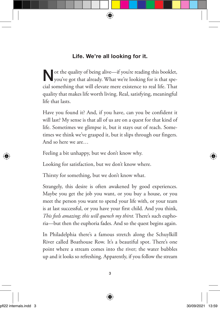#### **Life. We're all looking for it.**

Not the quality of being alive—if you're reading this booklet, you've got that already. What we're looking for is that special something that will elevate mere existence to real life. That quality that makes life worth living. Real, satisfying, meaningful life that lasts.

Have you found it? And, if you have, can you be confident it will last? My sense is that all of us are on a quest for that kind of life. Sometimes we glimpse it, but it stays out of reach. Sometimes we think we've grasped it, but it slips through our fingers. And so here we are…

Feeling a bit unhappy, but we don't know why.

Looking for satisfaction, but we don't know where.

Thirsty for something, but we don't know what.

Strangely, this desire is often awakened by good experiences. Maybe you get the job you want, or you buy a house, or you meet the person you want to spend your life with, or your team is at last successful, or you have your first child. And you think, *This feels amazing; this will quench my thirst.* There's such euphoria—but then the euphoria fades. And so the quest begins again.

In Philadelphia there's a famous stretch along the Schuylkill River called Boathouse Row. It's a beautiful spot. There's one point where a stream comes into the river; the water bubbles up and it looks so refreshing. Apparently, if you follow the stream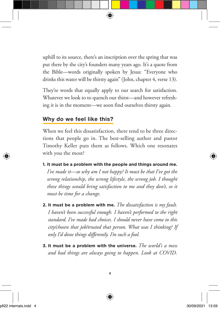uphill to its source, there's an inscription over the spring that was put there by the city's founders many years ago. It's a quote from the Bible—words originally spoken by Jesus: "Everyone who drinks this water will be thirsty again" (John, chapter 4, verse 13).

They're words that equally apply to our search for satisfaction. Whatever we look to to quench our thirst—and however refreshing it is in the moment—we soon find ourselves thirsty again.

#### **Why do we feel like this?**

When we feel this dissatisfaction, there tend to be three directions that people go in. The best-selling author and pastor Timothy Keller puts them as follows. Which one resonates with you the most?

- **1. It must be a problem with the people and things around me.**  *I've made it—so why am I not happy? It must be that I've got the wrong relationship, the wrong lifestyle, the wrong job. I thought these things would bring satisfaction to me and they don't, so it must be time for a change.*
- **2. It must be a problem with me.** *The dissatisfaction is my fault. I haven't been successful enough. I haven't performed to the right standard. I've made bad choices. I should never have come to this city/chosen that job/trusted that person. What was I thinking? If only I'd done things differently. I'm such a fool.*
- **3. It must be a problem with the universe.** *The world's a mess and bad things are always going to happen. Look at COVID.*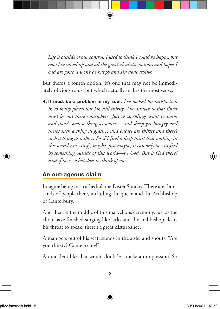*Life is outside of our control. I used to think I could be happy, but now I've wised up and all the great idealistic notions and hopes I had are gone. I won't be happy and I'm done trying.*

But there's a fourth option. It's one that may not be immediately obvious to us, but which actually makes the most sense:

**4. It must be a problem in my soul.** *I've looked for satisfaction in so many places but I'm still thirsty. The answer to that thirst must be out there somewhere. Just as ducklings want to swim and there's such a thing as water… and sheep get hungry and there's such a thing as grass… and babies are thirsty and there's such a thing as milk… So if I find a deep thirst that nothing in this world can satisfy, maybe, just maybe, it can only be satisfied by something outside of this world—by God. But is God there? And if he is, what does he think of me?* 

#### **An outrageous claim**

Imagine being in a cathedral one Easter Sunday. There are thousands of people there, including the queen and the Archbishop of Canterbury.

And then in the middle of this marvellous ceremony, just as the choir have finished singing like larks and the archbishop clears his throat to speak, there's a great disturbance.

A man gets out of his seat, stands in the aisle, and shouts, "Are you thirsty? Come to me!"

An incident like that would doubtless make an impression. So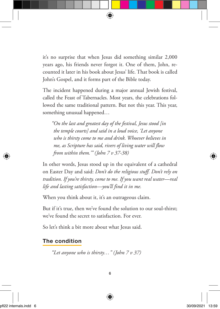it's no surprise that when Jesus did something similar 2,000 years ago, his friends never forgot it. One of them, John, recounted it later in his book about Jesus' life. That book is called John's Gospel, and it forms part of the Bible today.

The incident happened during a major annual Jewish festival, called the Feast of Tabernacles. Most years, the celebrations followed the same traditional pattern. But not this year. This year, something unusual happened…

*"On the last and greatest day of the festival, Jesus stood [in the temple courts] and said in a loud voice, 'Let anyone who is thirsty come to me and drink. Whoever believes in me, as Scripture has said, rivers of living water will flow from within them.'" (John 7 v 37-38)* 

In other words, Jesus stood up in the equivalent of a cathedral on Easter Day and said: *Don't do the religious stuff. Don't rely on tradition. If you're thirsty, come to me. If you want real water—real life and lasting satisfaction—you'll find it in me.* 

When you think about it, it's an outrageous claim.

But if it's true, then we've found the solution to our soul-thirst; we've found the secret to satisfaction. For ever.

So let's think a bit more about what Jesus said.

#### **The condition**

*"Let anyone who is thirsty…" (John 7 v 37)*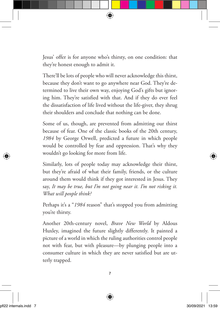Jesus' offer is for anyone who's thirsty, on one condition: that they're honest enough to admit it.

There'll be lots of people who will never acknowledge this thirst, because they don't want to go anywhere near God. They're determined to live their own way, enjoying God's gifts but ignoring him. They're satisfied with that. And if they do ever feel the dissatisfaction of life lived without the life-giver, they shrug their shoulders and conclude that nothing can be done.

Some of us, though, are prevented from admitting our thirst because of fear. One of the classic books of the 20th century, *1984* by George Orwell, predicted a future in which people would be controlled by fear and oppression. That's why they wouldn't go looking for more from life.

Similarly, lots of people today may acknowledge their thirst, but they're afraid of what their family, friends, or the culture around them would think if they got interested in Jesus. They say, *It may be true, but I'm not going near it. I'm not risking it. What will people think?* 

Perhaps it's a "1984 reason" that's stopped you from admitting you're thirsty.

Another 20th-century novel, *Brave New World* by Aldous Huxley, imagined the future slightly differently. It painted a picture of a world in which the ruling authorities control people not with fear, but with pleasure—by plunging people into a consumer culture in which they are never satisfied but are utterly trapped.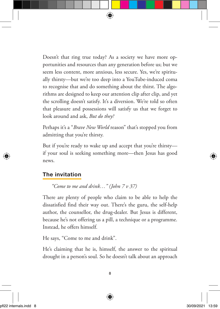Doesn't that ring true today? As a society we have more opportunities and resources than any generation before us; but we seem less content, more anxious, less secure. Yes, we're spiritually thirsty—but we're too deep into a YouTube-induced coma to recognise that and do something about the thirst. The algorithms are designed to keep our attention clip after clip, and yet the scrolling doesn't satisfy. It's a diversion. We're told so often that pleasure and possessions will satisfy us that we forget to look around and ask, *But do they?* 

Perhaps it's a "*Brave New World* reason" that's stopped you from admitting that you're thirsty.

But if you're ready to wake up and accept that you're thirsty if your soul is seeking something more—then Jesus has good news.

#### **The invitation**

*"Come to me and drink…" (John 7 v 37)* 

There are plenty of people who claim to be able to help the dissatisfied find their way out. There's the guru, the self-help author, the counsellor, the drug-dealer. But Jesus is different, because he's not offering us a pill, a technique or a programme. Instead, he offers himself.

He says, "Come to me and drink".

He's claiming that he is, himself, the answer to the spiritual drought in a person's soul. So he doesn't talk about an approach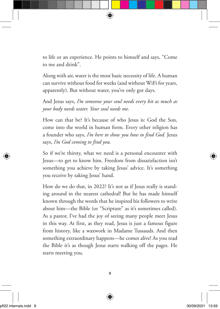to life or an experience. He points to himself and says, "Come to me and drink".

Along with air, water is the most basic necessity of life. A human can survive without food for weeks (and without WiFi for years, apparently). But without water, you've only got days.

And Jesus says, *I'm someone your soul needs every bit as much as your body needs water. Your soul needs me.* 

How can that be? It's because of who Jesus is: God the Son, come into the world in human form. Every other religion has a founder who says, *I'm here to show you how to find God.* Jesus says, *I'm God coming to find you.* 

So if we're thirsty, what we need is a personal encounter with Jesus—to get to know him. Freedom from dissatisfaction isn't something you achieve by taking Jesus' advice. It's something you receive by taking Jesus' hand.

How do we do that, in 2022? It's not as if Jesus really is standing around in the nearest cathedral! But he has made himself known through the words that he inspired his followers to write about him—the Bible (or "Scripture" as it's sometimes called). As a pastor, I've had the joy of seeing many people meet Jesus in this way. At first, as they read, Jesus is just a famous figure from history, like a waxwork in Madame Tussauds. And then something extraordinary happens—he comes alive! As you read the Bible it's as though Jesus starts walking off the pages. He starts meeting you.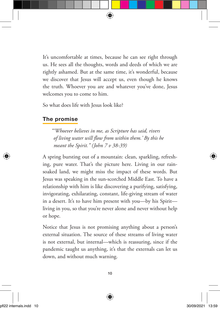It's uncomfortable at times, because he can see right through us. He sees all the thoughts, words and deeds of which we are rightly ashamed. But at the same time, it's wonderful, because we discover that Jesus will accept us, even though he knows the truth. Whoever you are and whatever you've done, Jesus welcomes you to come to him.

So what does life with Jesus look like?

#### **The promise**

*"'Whoever believes in me, as Scripture has said, rivers of living water will flow from within them.' By this he meant the Spirit." (John 7 v 38-39)* 

A spring bursting out of a mountain: clean, sparkling, refreshing, pure water. That's the picture here. Living in our rainsoaked land, we might miss the impact of these words. But Jesus was speaking in the sun-scorched Middle East. To have a relationship with him is like discovering a purifying, satisfying, invigorating, exhilarating, constant, life-giving stream of water in a desert. It's to have him present with you—by his Spirit living in you, so that you're never alone and never without help or hope.

Notice that Jesus is not promising anything about a person's external situation. The source of these streams of living water is not external, but internal—which is reassuring, since if the pandemic taught us anything, it's that the externals can let us down, and without much warning.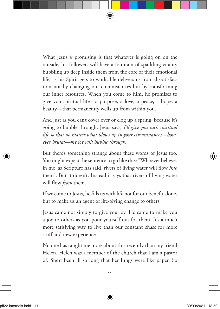What Jesus *is* promising is that whatever is going on on the outside, his followers will have a fountain of sparkling vitality bubbling up deep inside them from the core of their emotional life, as his Spirit gets to work. He delivers us from dissatisfaction not by changing our circumstances but by transforming our inner resources. When you come to him, he promises to give you spiritual life—a purpose, a love, a peace, a hope, a beauty—that permanently wells up from within you.

And just as you can't cover over or clog up a spring, because it's going to bubble through, Jesus says, *I'll give you such spiritual life so that no matter what blows up in your circumstances—however brutal—my joy will bubble through.* 

But there's something strange about these words of Jesus too. You might expect the sentence to go like this: "Whoever believes in me, as Scripture has said, rivers of living water will flow *into* them". But it doesn't. Instead it says that rivers of living water will flow *from* them.

If we come to Jesus, he fills us with life not for our benefit alone, but to make us an agent of life-giving change to others.

Jesus came not simply to give you joy. He came to make you a joy to others as you pour yourself out for them. It's a much more satisfying way to live than our constant chase for more stuff and new experiences.

No one has taught me more about this recently than my friend Helen. Helen was a member of the church that I am a pastor of. She'd been ill so long that her lungs were like paper. So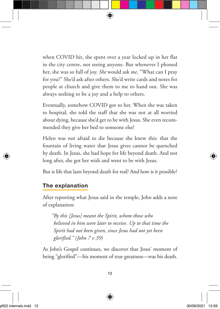when COVID hit, she spent over a year locked up in her flat in the city centre, not seeing anyone. But whenever I phoned her, she was so full of joy. *She* would ask *me*, "What can I pray for you?" She'd ask after others. She'd write cards and notes for people at church and give them to me to hand out. She was always seeking to be a joy and a help to others.

Eventually, somehow COVID got to her. When she was taken to hospital, she told the staff that she was not at all worried about dying, because she'd get to be with Jesus. She even recommended they give her bed to someone else!

Helen was not afraid to die because she knew this: that the fountain of living water that Jesus gives cannot be quenched by death. In Jesus, she had hope for life beyond death. And not long after, she got her wish and went to be with Jesus.

But is life that lasts beyond death for real? And how is it possible?

#### **The explanation**

After reporting what Jesus said in the temple, John adds a note of explanation:

*"By this [Jesus] meant the Spirit, whom those who believed in him were later to receive. Up to that time the Spirit had not been given, since Jesus had not yet been glorified." (John 7 v 39)*

As John's Gospel continues, we discover that Jesus' moment of being "glorified"—his moment of true greatness—was his death.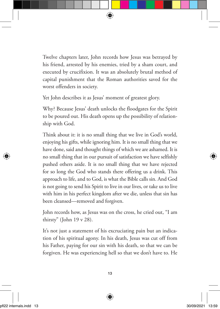Twelve chapters later, John records how Jesus was betrayed by his friend, arrested by his enemies, tried by a sham court, and executed by crucifixion. It was an absolutely brutal method of capital punishment that the Roman authorities saved for the worst offenders in society.

Yet John describes it as Jesus' moment of greatest glory.

Why? Because Jesus' death unlocks the floodgates for the Spirit to be poured out. His death opens up the possibility of relationship with God.

Think about it: it is no small thing that we live in God's world, enjoying his gifts, while ignoring him. It is no small thing that we have done, said and thought things of which we are ashamed. It is no small thing that in our pursuit of satisfaction we have selfishly pushed others aside. It is no small thing that we have rejected for so long the God who stands there offering us a drink. This approach to life, and to God, is what the Bible calls sin. And God is not going to send his Spirit to live in our lives, or take us to live with him in his perfect kingdom after we die, unless that sin has been cleansed—removed and forgiven.

John records how, as Jesus was on the cross, he cried out, "I am thirsty" (John 19 v 28).

It's not just a statement of his excruciating pain but an indication of his spiritual agony. In his death, Jesus was cut off from his Father, paying for our sin with his death, so that we can be forgiven. He was experiencing hell so that we don't have to. He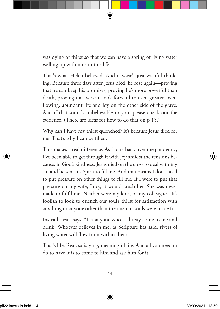was dying of thirst so that we can have a spring of living water welling up within us in this life.

That's what Helen believed. And it wasn't just wishful thinking. Because three days after Jesus died, he rose again—proving that he can keep his promises, proving he's more powerful than death, proving that we can look forward to even greater, overflowing, abundant life and joy on the other side of the grave. And if that sounds unbelievable to you, please check out the evidence. (There are ideas for how to do that on p 15.)

Why can I have my thirst quenched? It's because Jesus died for me. That's why I can be filled.

This makes a real difference. As I look back over the pandemic, I've been able to get through it with joy amidst the tensions because, in God's kindness, Jesus died on the cross to deal with my sin and he sent his Spirit to fill me. And that means I don't need to put pressure on other things to fill me. If I were to put that pressure on my wife, Lucy, it would crush her. She was never made to fulfil me. Neither were my kids, or my colleagues. It's foolish to look to quench our soul's thirst for satisfaction with anything or anyone other than the one our souls were made for.

Instead, Jesus says: "Let anyone who is thirsty come to me and drink. Whoever believes in me, as Scripture has said, rivers of living water will flow from within them."

That's life. Real, satisfying, meaningful life. And all you need to do to have it is to come to him and ask him for it.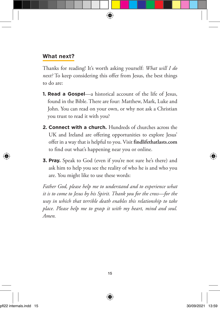#### **What next?**

Thanks for reading! It's worth asking yourself: *What will I do next?* To keep considering this offer from Jesus, the best things to do are:

- **1. Read a Gospel**—a historical account of the life of Jesus, found in the Bible. There are four: Matthew, Mark, Luke and John. You can read on your own, or why not ask a Christian you trust to read it with you?
- **2. Connect with a church.** Hundreds of churches across the UK and Ireland are offering opportunities to explore Jesus' offer in a way that is helpful to you. Visit **findlifethatlasts.com** to find out what's happening near you or online.
- **3. Pray.** Speak to God (even if you're not sure he's there) and ask him to help you see the reality of who he is and who you are. You might like to use these words:

*Father God, please help me to understand and to experience what it is to come to Jesus by his Spirit. Thank you for the cross—for the way in which that terrible death enables this relationship to take place. Please help me to grasp it with my heart, mind and soul. Amen.*